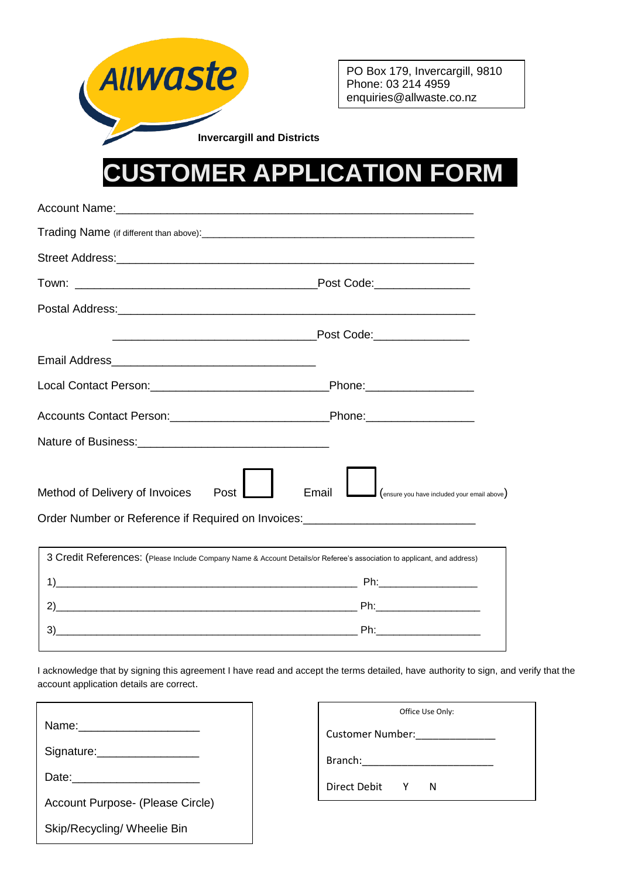

PO Box 179, Invercargill, 9810 Phone: 03 214 4959 enquiries@allwaste.co.nz

**Invercargill and Districts**

## **CUSTOMER APPLICATION FORM\_**

| Method of Delivery of Invoices<br>Post<br>Order Number or Reference if Required on Invoices: _____________________________ | Email<br>(ensure you have included your email above) |  |
|----------------------------------------------------------------------------------------------------------------------------|------------------------------------------------------|--|
|                                                                                                                            |                                                      |  |
| 3 Credit References: (Please Include Company Name & Account Details/or Referee's association to applicant, and address)    |                                                      |  |
|                                                                                                                            |                                                      |  |
|                                                                                                                            |                                                      |  |
| 3)                                                                                                                         |                                                      |  |

I acknowledge that by signing this agreement I have read and accept the terms detailed, have authority to sign, and verify that the account application details are correct.

| Signature: __________________    |  |
|----------------------------------|--|
|                                  |  |
| Account Purpose- (Please Circle) |  |
| Skip/Recycling/ Wheelie Bin      |  |

| Office Use Only: |   |   |  |
|------------------|---|---|--|
| Customer Number: |   |   |  |
| Branch:          |   |   |  |
| Direct Debit     | Y | N |  |
|                  |   |   |  |